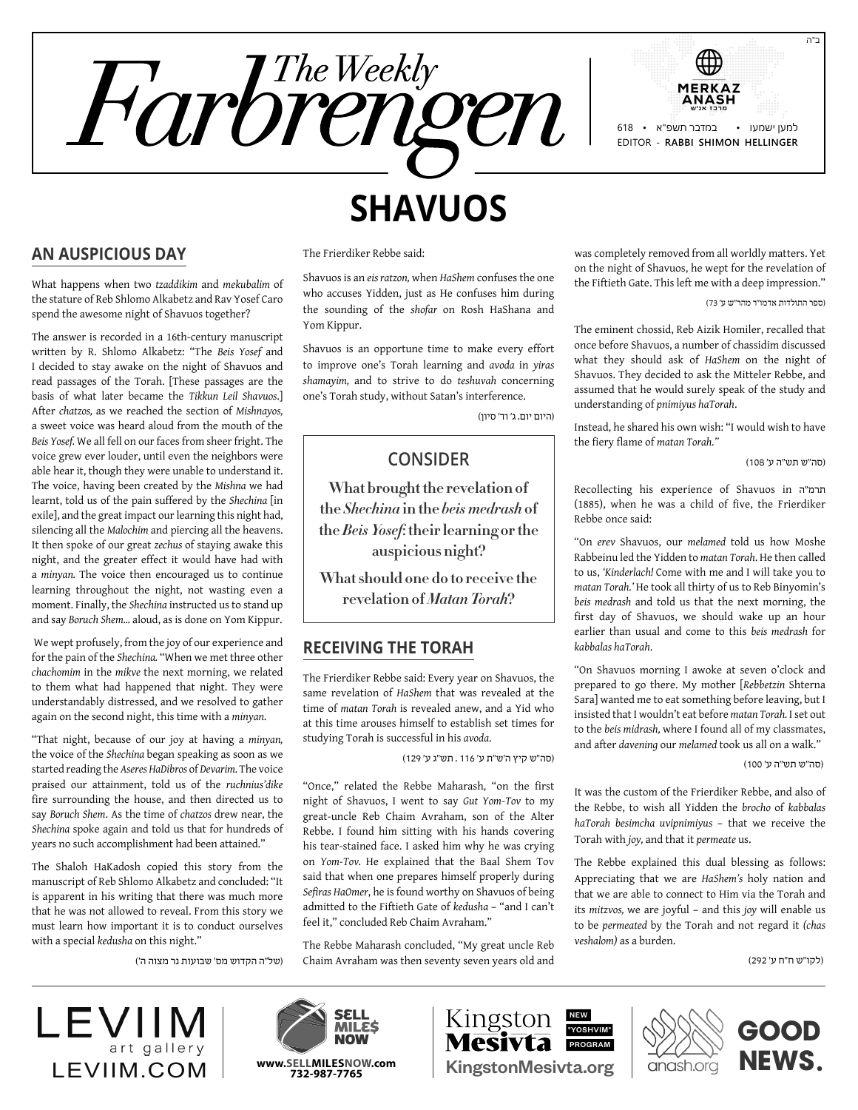



## **An Auspicious Day**

What happens when two *tzaddikim* and *mekubalim* of the stature of Reb Shlomo Alkabetz and Rav Yosef Caro spend the awesome night of Shavuos together?

The answer is recorded in a 16th-century manuscript written by R. Shlomo Alkabetz: "The *Beis Yosef* and I decided to stay awake on the night of Shavuos and read passages of the Torah. [These passages are the basis of what later became the *Tikkun Leil Shavuos*.] After *chatzos,* as we reached the section of *Mishnayos,*  a sweet voice was heard aloud from the mouth of the *Beis Yosef.* We all fell on our faces from sheer fright. The voice grew ever louder, until even the neighbors were able hear it, though they were unable to understand it. The voice, having been created by the *Mishna* we had learnt, told us of the pain suffered by the *Shechina* [in exile], and the great impact our learning this night had, silencing all the *Malochim* and piercing all the heavens. It then spoke of our great *zechus* of staying awake this night, and the greater effect it would have had with a *minyan.* The voice then encouraged us to continue learning throughout the night, not wasting even a moment. Finally, the *Shechina* instructed us to stand up and say *Boruch Shem...* aloud, as is done on Yom Kippur.

 We wept profusely, from the joy of our experience and for the pain of the *Shechina.* "When we met three other *chachomim* in the *mikve* the next morning, we related to them what had happened that night. They were understandably distressed, and we resolved to gather again on the second night, this time with a *minyan.*

"That night, because of our joy at having a *minyan,*  the voice of the *Shechina* began speaking as soon as we started reading the *Aseres HaDibros* of *Devarim.* The voice praised our attainment, told us of the *ruchnius'dike*  fire surrounding the house, and then directed us to say *Boruch Shem*. As the time of *chatzos* drew near, the *Shechina* spoke again and told us that for hundreds of years no such accomplishment had been attained."

The Shaloh HaKadosh copied this story from the manuscript of Reb Shlomo Alkabetz and concluded: "It is apparent in his writing that there was much more that he was not allowed to reveal. From this story we must learn how important it is to conduct ourselves with a special *kedusha* on this night."

)של"ה הקדוש מס' שבועות נר מצוה ה'(

The Frierdiker Rebbe said:

Shavuos is an *eis ratzon,* when *HaShem* confuses the one who accuses Yidden, just as He confuses him during the sounding of the *shofar* on Rosh HaShana and Yom Kippur.

Shavuos is an opportune time to make every effort to improve one's Torah learning and *avoda* in *yiras shamayim,* and to strive to do *teshuvah* concerning one's Torah study, without Satan's interference.

)היום יום, ג' וד' סיון(

### **Consider**

**What brought the revelation of the** *Shechina* **in the** *beis medrash* **of the** *Beis Yosef***: their learning or the auspicious night?**

**What should one do to receive the revelation of** *Matan Torah***?**

### **Receiving the Torah**

The Frierdiker Rebbe said: Every year on Shavuos, the same revelation of *HaShem* that was revealed at the time of *matan Torah* is revealed anew, and a Yid who at this time arouses himself to establish set times for studying Torah is successful in his *avoda*.

)סה"ש קיץ ה'ש"ת ע' 116 , תש"ג ע' 129(

"Once," related the Rebbe Maharash, "on the first night of Shavuos, I went to say *Gut Yom-Tov* to my great-uncle Reb Chaim Avraham, son of the Alter Rebbe. I found him sitting with his hands covering his tear-stained face. I asked him why he was crying on *Yom-Tov.* He explained that the Baal Shem Tov said that when one prepares himself properly during *Sefiras HaOmer*, he is found worthy on Shavuos of being admitted to the Fiftieth Gate of *kedusha* – "and I can't feel it," concluded Reb Chaim Avraham."

The Rebbe Maharash concluded, "My great uncle Reb Chaim Avraham was then seventy seven years old and

was completely removed from all worldly matters. Yet on the night of Shavuos, he wept for the revelation of the Fiftieth Gate. This left me with a deep impression."

)ספר התולדות אדמו"ר מהר"ש ע' 73(

The eminent chossid, Reb Aizik Homiler, recalled that once before Shavuos, a number of chassidim discussed what they should ask of *HaShem* on the night of Shavuos. They decided to ask the Mitteler Rebbe, and assumed that he would surely speak of the study and understanding of *pnimiyus haTorah*.

Instead, he shared his own wish: "I would wish to have the fiery flame of *matan Torah."*

)סה"ש תש"ה ע' 108(

Recollecting his experience of Shavuos in ה"תרמ (1885), when he was a child of five, the Frierdiker Rebbe once said:

"On *erev* Shavuos, our *melamed* told us how Moshe Rabbeinu led the Yidden to *matan Torah*. He then called to us, *'Kinderlach!* Come with me and I will take you to *matan Torah.'* He took all thirty of us to Reb Binyomin's *beis medrash* and told us that the next morning, the first day of Shavuos, we should wake up an hour earlier than usual and come to this *beis medrash* for *kabbalas haTorah*.

"On Shavuos morning I awoke at seven o'clock and prepared to go there. My mother [*Rebbetzin* Shterna Sara] wanted me to eat something before leaving, but I insisted that I wouldn't eat before *matan Torah.* I set out to the *beis midrash,* where I found all of my classmates, and after *davening* our *melamed* took us all on a walk."

)סה"ש תש"ה ע' 100(

It was the custom of the Frierdiker Rebbe, and also of the Rebbe, to wish all Yidden the *brocho* of *kabbalas haTorah besimcha uvipnimiyus* – that we receive the Torah with *joy,* and that it *permeate* us.

The Rebbe explained this dual blessing as follows: Appreciating that we are *HaShem's* holy nation and that we are able to connect to Him via the Torah and its *mitzvos,* we are joyful – and this *joy* will enable us to be *permeated* by the Torah and not regard it *(chas veshalom)* as a burden.

)לקו"ש ח"ח ע' 292(

LEVIIM art gallery LEVIIM.COM | www.SELLMILESNOW.com | KingstonMesivta.org

**www.Sellmilesnow.com 732-987-7765**